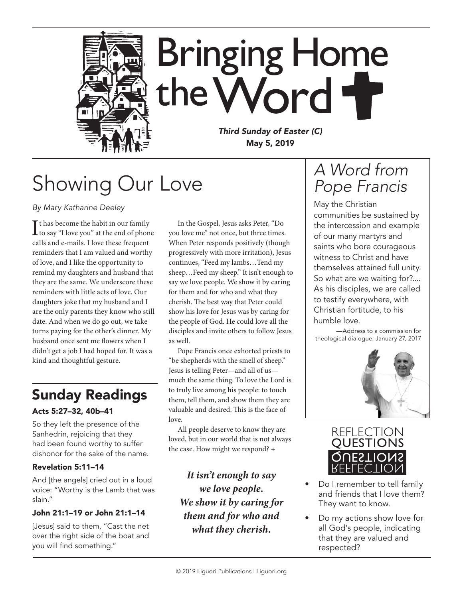

# Showing Our Love

*By Mary Katharine Deeley*

 $\prod$ <sup>t</sup> has become the habit in our family<br>to say "I love you" at the end of phone t has become the habit in our family calls and e-mails. I love these frequent reminders that I am valued and worthy of love, and I like the opportunity to remind my daughters and husband that they are the same. We underscore these reminders with little acts of love. Our daughters joke that my husband and I are the only parents they know who still date. And when we do go out, we take turns paying for the other's dinner. My husband once sent me flowers when I didn't get a job I had hoped for. It was a kind and thoughtful gesture.

### Sunday Readings

#### Acts 5:27–32, 40b–41

So they left the presence of the Sanhedrin, rejoicing that they had been found worthy to suffer dishonor for the sake of the name.

#### Revelation 5:11–14

And [the angels] cried out in a loud voice: "Worthy is the Lamb that was slain."

#### John 21:1–19 or John 21:1–14

[Jesus] said to them, "Cast the net over the right side of the boat and you will find something."

In the Gospel, Jesus asks Peter, "Do you love me" not once, but three times. When Peter responds positively (though progressively with more irritation), Jesus continues, "Feed my lambs…Tend my sheep…Feed my sheep." It isn't enough to say we love people. We show it by caring for them and for who and what they cherish. The best way that Peter could show his love for Jesus was by caring for the people of God. He could love all the disciples and invite others to follow Jesus as well.

Pope Francis once exhorted priests to "be shepherds with the smell of sheep." Jesus is telling Peter—and all of us much the same thing. To love the Lord is to truly live among his people: to touch them, tell them, and show them they are valuable and desired. This is the face of love.

All people deserve to know they are loved, but in our world that is not always the case. How might we respond? +

*It isn't enough to say we love people. We show it by caring for them and for who and what they cherish.*

### *A Word from Pope Francis*

May the Christian communities be sustained by the intercession and example of our many martyrs and saints who bore courageous witness to Christ and have themselves attained full unity. So what are we waiting for?.... As his disciples, we are called to testify everywhere, with Christian fortitude, to his humble love.

—Address to a commission for theological dialogue, January 27, 2017





- Do I remember to tell family and friends that I love them? They want to know.
- Do my actions show love for all God's people, indicating that they are valued and respected?